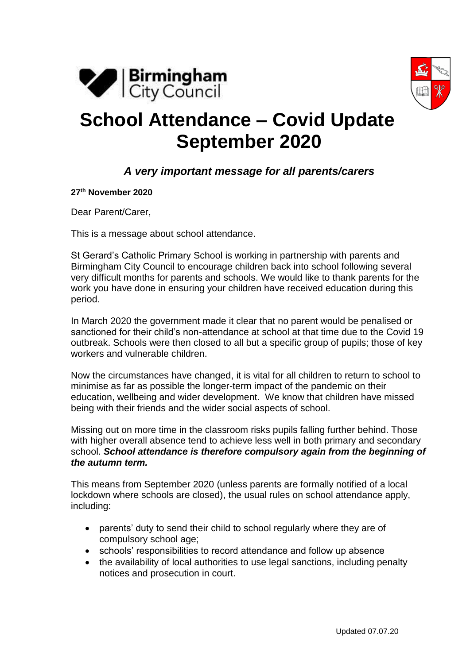



## **School Attendance – Covid Update September 2020**

## *A very important message for all parents/carers*

**27th November 2020**

Dear Parent/Carer,

This is a message about school attendance.

St Gerard's Catholic Primary School is working in partnership with parents and Birmingham City Council to encourage children back into school following several very difficult months for parents and schools. We would like to thank parents for the work you have done in ensuring your children have received education during this period.

In March 2020 the government made it clear that no parent would be penalised or sanctioned for their child's non-attendance at school at that time due to the Covid 19 outbreak. Schools were then closed to all but a specific group of pupils; those of key workers and vulnerable children.

Now the circumstances have changed, it is vital for all children to return to school to minimise as far as possible the longer-term impact of the pandemic on their education, wellbeing and wider development. We know that children have missed being with their friends and the wider social aspects of school.

Missing out on more time in the classroom risks pupils falling further behind. Those with higher overall absence tend to achieve less well in both primary and secondary school. *School attendance is therefore compulsory again from the beginning of the autumn term.*

This means from September 2020 (unless parents are formally notified of a local lockdown where schools are closed), the usual rules on school attendance apply, including:

- parents' duty to send their child to school regularly where they are of compulsory school age;
- schools' responsibilities to record attendance and follow up absence
- the availability of local authorities to use legal sanctions, including penalty notices and prosecution in court.